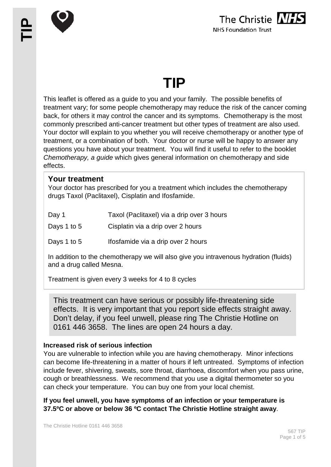

# **TIP**

This leaflet is offered as a guide to you and your family. The possible benefits of treatment vary; for some people chemotherapy may reduce the risk of the cancer coming back, for others it may control the cancer and its symptoms. Chemotherapy is the most commonly prescribed anti-cancer treatment but other types of treatment are also used. Your doctor will explain to you whether you will receive chemotherapy or another type of treatment, or a combination of both. Your doctor or nurse will be happy to answer any questions you have about your treatment. You will find it useful to refer to the booklet *Chemotherapy, a guide* which gives general information on chemotherapy and side effects.

# **Your treatment**

Your doctor has prescribed for you a treatment which includes the chemotherapy drugs Taxol (Paclitaxel), Cisplatin and Ifosfamide.

- Day 1 Taxol (Paclitaxel) via a drip over 3 hours
- Days 1 to 5 Cisplatin via a drip over 2 hours
- Days 1 to 5 Ifosfamide via a drip over 2 hours

In addition to the chemotherapy we will also give you intravenous hydration (fluids) and a drug called Mesna.

Treatment is given every 3 weeks for 4 to 8 cycles

This treatment can have serious or possibly life-threatening side effects. It is very important that you report side effects straight away. Don't delay, if you feel unwell, please ring The Christie Hotline on 0161 446 3658. The lines are open 24 hours a day.

# **Increased risk of serious infection**

You are vulnerable to infection while you are having chemotherapy. Minor infections can become life-threatening in a matter of hours if left untreated. Symptoms of infection include fever, shivering, sweats, sore throat, diarrhoea, discomfort when you pass urine, cough or breathlessness. We recommend that you use a digital thermometer so you can check your temperature. You can buy one from your local chemist.

**If you feel unwell, you have symptoms of an infection or your temperature is 37.5ºC or above or below 36 ºC contact The Christie Hotline straight away**.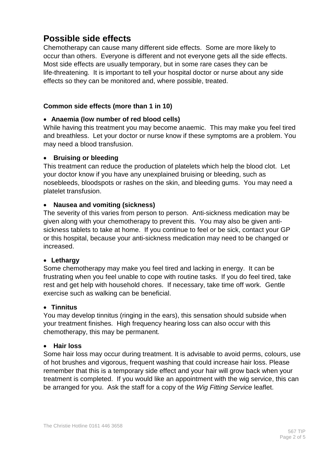# **Possible side effects**

Chemotherapy can cause many different side effects. Some are more likely to occur than others. Everyone is different and not everyone gets all the side effects. Most side effects are usually temporary, but in some rare cases they can be life-threatening. It is important to tell your hospital doctor or nurse about any side effects so they can be monitored and, where possible, treated.

# **Common side effects (more than 1 in 10)**

# • **Anaemia (low number of red blood cells)**

While having this treatment you may become anaemic. This may make you feel tired and breathless. Let your doctor or nurse know if these symptoms are a problem. You may need a blood transfusion.

#### • **Bruising or bleeding**

This treatment can reduce the production of platelets which help the blood clot. Let your doctor know if you have any unexplained bruising or bleeding, such as nosebleeds, bloodspots or rashes on the skin, and bleeding gums. You may need a platelet transfusion.

# • **Nausea and vomiting (sickness)**

The severity of this varies from person to person. Anti-sickness medication may be given along with your chemotherapy to prevent this. You may also be given antisickness tablets to take at home. If you continue to feel or be sick, contact your GP or this hospital, because your anti-sickness medication may need to be changed or increased.

#### • **Lethargy**

Some chemotherapy may make you feel tired and lacking in energy. It can be frustrating when you feel unable to cope with routine tasks. If you do feel tired, take rest and get help with household chores. If necessary, take time off work. Gentle exercise such as walking can be beneficial.

#### • **Tinnitus**

You may develop tinnitus (ringing in the ears), this sensation should subside when your treatment finishes. High frequency hearing loss can also occur with this chemotherapy, this may be permanent.

#### • **Hair loss**

Some hair loss may occur during treatment. It is advisable to avoid perms, colours, use of hot brushes and vigorous, frequent washing that could increase hair loss. Please remember that this is a temporary side effect and your hair will grow back when your treatment is completed. If you would like an appointment with the wig service, this can be arranged for you. Ask the staff for a copy of the *Wig Fitting Service* leaflet.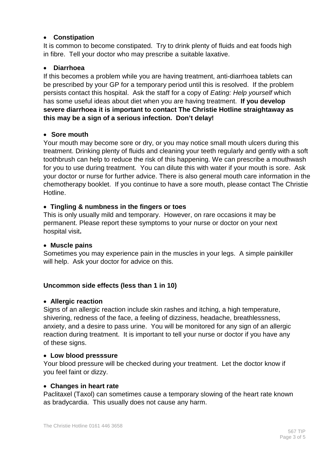# • **Constipation**

It is common to become constipated. Try to drink plenty of fluids and eat foods high in fibre. Tell your doctor who may prescribe a suitable laxative.

# • **Diarrhoea**

If this becomes a problem while you are having treatment, anti-diarrhoea tablets can be prescribed by your GP for a temporary period until this is resolved. If the problem persists contact this hospital. Ask the staff for a copy of *Eating: Help yourself* which has some useful ideas about diet when you are having treatment. **If you develop severe diarrhoea it is important to contact The Christie Hotline straightaway as this may be a sign of a serious infection. Don't delay!**

# • **Sore mouth**

Your mouth may become sore or dry, or you may notice small mouth ulcers during this treatment. Drinking plenty of fluids and cleaning your teeth regularly and gently with a soft toothbrush can help to reduce the risk of this happening. We can prescribe a mouthwash for you to use during treatment. You can dilute this with water if your mouth is sore. Ask your doctor or nurse for further advice. There is also general mouth care information in the chemotherapy booklet. If you continue to have a sore mouth, please contact The Christie Hotline.

# • **Tingling & numbness in the fingers or toes**

This is only usually mild and temporary. However, on rare occasions it may be permanent. Please report these symptoms to your nurse or doctor on your next hospital visit**.**

#### • **Muscle pains**

Sometimes you may experience pain in the muscles in your legs. A simple painkiller will help. Ask your doctor for advice on this.

# **Uncommon side effects (less than 1 in 10)**

#### • **Allergic reaction**

Signs of an allergic reaction include skin rashes and itching, a high temperature, shivering, redness of the face, a feeling of dizziness, headache, breathlessness, anxiety, and a desire to pass urine. You will be monitored for any sign of an allergic reaction during treatment. It is important to tell your nurse or doctor if you have any of these signs.

#### • **Low blood presssure**

Your blood pressure will be checked during your treatment. Let the doctor know if you feel faint or dizzy.

#### • **Changes in heart rate**

Paclitaxel (Taxol) can sometimes cause a temporary slowing of the heart rate known as bradycardia. This usually does not cause any harm.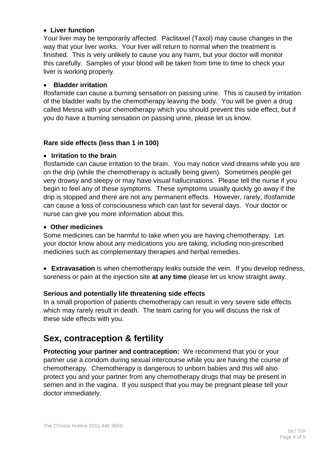# • **Liver function**

Your liver may be temporarily affected. Paclitaxel (Taxol) may cause changes in the way that your liver works. Your liver will return to normal when the treatment is finished. This is very unlikely to cause you any harm, but your doctor will monitor this carefully. Samples of your blood will be taken from time to time to check your liver is working properly.

#### • **Bladder irritation**

Ifosfamide can cause a burning sensation on passing urine. This is caused by irritation of the bladder walls by the chemotherapy leaving the body. You will be given a drug called Mesna with your chemotherapy which you should prevent this side effect, but if you do have a burning sensation on passing urine, please let us know.

# **Rare side effects (less than 1 in 100)**

#### • **Irritation to the brain**

Ifosfamide can cause irritation to the brain. You may notice vivid dreams while you are on the drip (while the chemotherapy is actually being given). Sometimes people get very drowsy and sleepy or may have visual hallucinations. Please tell the nurse if you begin to feel any of these symptoms. These symptoms usually quickly go away if the drip is stopped and there are not any permanent effects. However, rarely, Ifosfamide can cause a loss of consciousness which can last for several days. Your doctor or nurse can give you more information about this.

#### • **Other medicines**

Some medicines can be harmful to take when you are having chemotherapy. Let your doctor know about any medications you are taking, including non-prescribed medicines such as complementary therapies and herbal remedies.

• **Extravasation** is when chemotherapy leaks outside the vein. If you develop redness, soreness or pain at the injection site **at any time** please let us know straight away.

# **Serious and potentially life threatening side effects**

In a small proportion of patients chemotherapy can result in very severe side effects which may rarely result in death. The team caring for you will discuss the risk of these side effects with you.

# **Sex, contraception & fertility**

**Protecting your partner and contraception:** We recommend that you or your partner use a condom during sexual intercourse while you are having the course of chemotherapy. Chemotherapy is dangerous to unborn babies and this will also protect you and your partner from any chemotherapy drugs that may be present in semen and in the vagina. If you suspect that you may be pregnant please tell your doctor immediately.